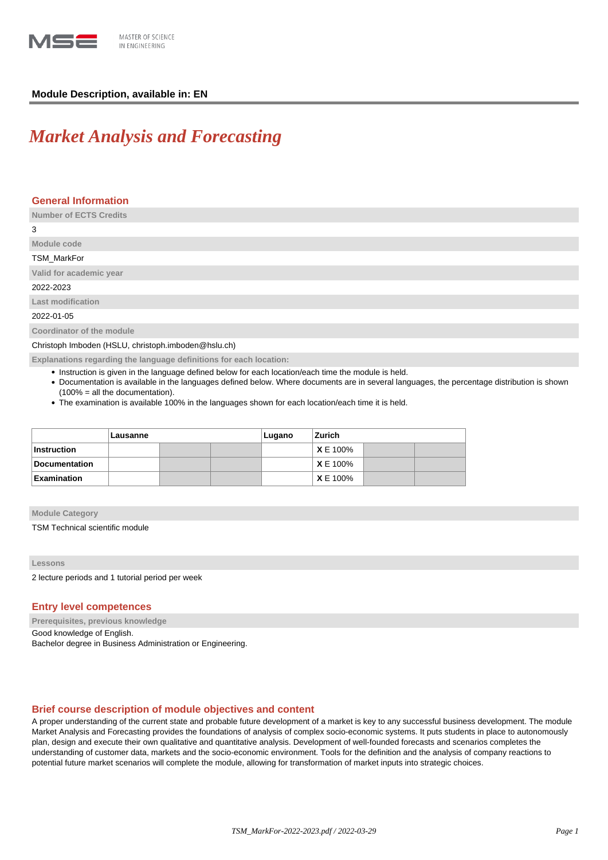

# **Module Description, available in: EN**

# *Market Analysis and Forecasting*

# **General Information**

| <b>Number of ECTS Credits</b>                       |
|-----------------------------------------------------|
| 3                                                   |
| Module code                                         |
| TSM_MarkFor                                         |
| Valid for academic year                             |
| 2022-2023                                           |
| Last modification                                   |
| 2022-01-05                                          |
| Coordinator of the module                           |
| Christoph Imboden (HSLU, christoph.imboden@hslu.ch) |

**Explanations regarding the language definitions for each location:**

- Instruction is given in the language defined below for each location/each time the module is held.
- Documentation is available in the languages defined below. Where documents are in several languages, the percentage distribution is shown (100% = all the documentation).
- The examination is available 100% in the languages shown for each location/each time it is held.

|                      | Lausanne |  |  | Lugano | Zurich          |  |  |
|----------------------|----------|--|--|--------|-----------------|--|--|
| <b>Instruction</b>   |          |  |  |        | <b>X</b> E 100% |  |  |
| <b>Documentation</b> |          |  |  |        | <b>X</b> E 100% |  |  |
| Examination          |          |  |  |        | <b>X</b> E 100% |  |  |

**Module Category**

TSM Technical scientific module

**Lessons**

2 lecture periods and 1 tutorial period per week

# **Entry level competences**

**Prerequisites, previous knowledge** Good knowledge of English. Bachelor degree in Business Administration or Engineering.

## **Brief course description of module objectives and content**

A proper understanding of the current state and probable future development of a market is key to any successful business development. The module Market Analysis and Forecasting provides the foundations of analysis of complex socio-economic systems. It puts students in place to autonomously plan, design and execute their own qualitative and quantitative analysis. Development of well-founded forecasts and scenarios completes the understanding of customer data, markets and the socio-economic environment. Tools for the definition and the analysis of company reactions to potential future market scenarios will complete the module, allowing for transformation of market inputs into strategic choices.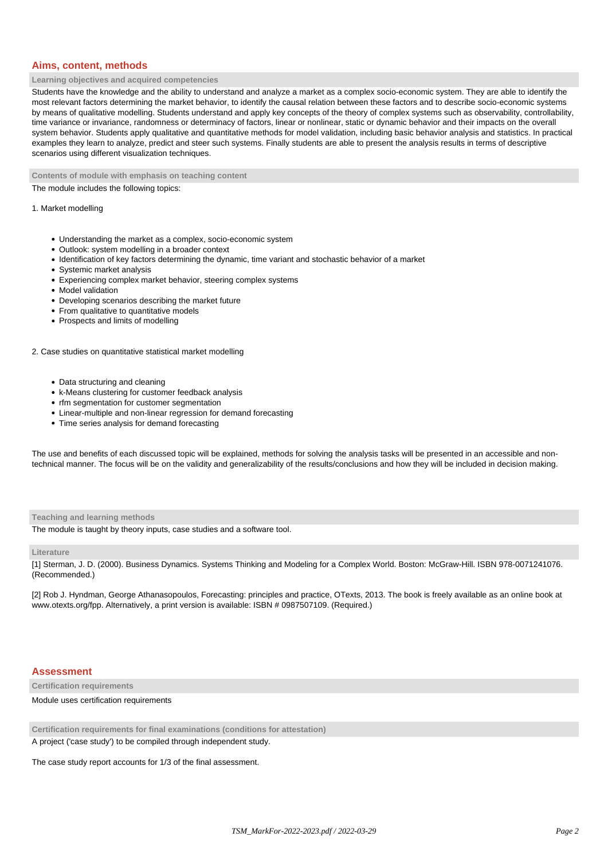## **Aims, content, methods**

#### **Learning objectives and acquired competencies**

Students have the knowledge and the ability to understand and analyze a market as a complex socio-economic system. They are able to identify the most relevant factors determining the market behavior, to identify the causal relation between these factors and to describe socio-economic systems by means of qualitative modelling. Students understand and apply key concepts of the theory of complex systems such as observability, controllability, time variance or invariance, randomness or determinacy of factors, linear or nonlinear, static or dynamic behavior and their impacts on the overall system behavior. Students apply qualitative and quantitative methods for model validation, including basic behavior analysis and statistics. In practical examples they learn to analyze, predict and steer such systems. Finally students are able to present the analysis results in terms of descriptive scenarios using different visualization techniques.

**Contents of module with emphasis on teaching content**

The module includes the following topics:

#### 1. Market modelling

- Understanding the market as a complex, socio-economic system
- Outlook: system modelling in a broader context
- Identification of key factors determining the dynamic, time variant and stochastic behavior of a market
- Systemic market analysis
- Experiencing complex market behavior, steering complex systems
- Model validation
- Developing scenarios describing the market future
- From qualitative to quantitative models
- Prospects and limits of modelling

#### 2. Case studies on quantitative statistical market modelling

- Data structuring and cleaning
- k-Means clustering for customer feedback analysis
- rfm segmentation for customer segmentation
- Linear-multiple and non-linear regression for demand forecasting
- Time series analysis for demand forecasting

The use and benefits of each discussed topic will be explained, methods for solving the analysis tasks will be presented in an accessible and nontechnical manner. The focus will be on the validity and generalizability of the results/conclusions and how they will be included in decision making.

**Teaching and learning methods**

The module is taught by theory inputs, case studies and a software tool.

#### **Literature**

[1] Sterman, J. D. (2000). Business Dynamics. Systems Thinking and Modeling for a Complex World. Boston: McGraw-Hill. ISBN 978-0071241076. (Recommended.)

[2] Rob J. Hyndman, George Athanasopoulos, Forecasting: principles and practice, OTexts, 2013. The book is freely available as an online book at www.otexts.org/fpp. Alternatively, a print version is available: ISBN # 0987507109. (Required.)

### **Assessment**

**Certification requirements**

Module uses certification requirements

**Certification requirements for final examinations (conditions for attestation)**

A project ('case study') to be compiled through independent study.

The case study report accounts for 1/3 of the final assessment.